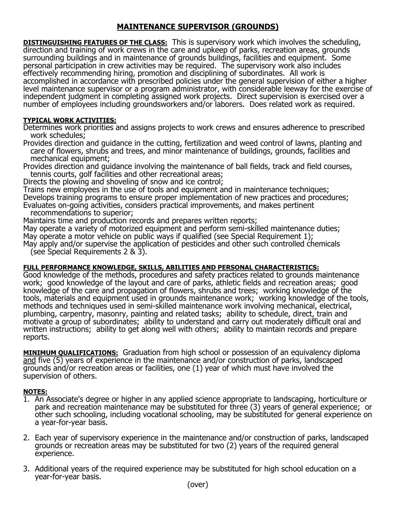# **MAINTENANCE SUPERVISOR (GROUNDS)**

**DISTINGUISHING FEATURES OF THE CLASS:** This is supervisory work which involves the scheduling, direction and training of work crews in the care and upkeep of parks, recreation areas, grounds surrounding buildings and in maintenance of grounds buildings, facilities and equipment. Some personal participation in crew activities may be required. The supervisory work also includes effectively recommending hiring, promotion and disciplining of subordinates. All work is accomplished in accordance with prescribed policies under the general supervision of either a higher level maintenance supervisor or a program administrator, with considerable leeway for the exercise of independent judgment in completing assigned work projects. Direct supervision is exercised over a number of employees including groundsworkers and/or laborers. Does related work as required.

## **TYPICAL WORK ACTIVITIES:**

Determines work priorities and assigns projects to work crews and ensures adherence to prescribed work schedules;

Provides direction and guidance in the cutting, fertilization and weed control of lawns, planting and care of flowers, shrubs and trees, and minor maintenance of buildings, grounds, facilities and mechanical equipment;

Provides direction and guidance involving the maintenance of ball fields, track and field courses, tennis courts, golf facilities and other recreational areas;

Directs the plowing and shoveling of snow and ice control;

Trains new employees in the use of tools and equipment and in maintenance techniques; Develops training programs to ensure proper implementation of new practices and procedures; Evaluates on-going activities, considers practical improvements, and makes pertinent recommendations to superior;

Maintains time and production records and prepares written reports;

May operate a variety of motorized equipment and perform semi-skilled maintenance duties; May operate a motor vehicle on public ways if qualified (see Special Requirement 1);

May apply and/or supervise the application of pesticides and other such controlled chemicals (see Special Requirements 2 & 3).

# **FULL PERFORMANCE KNOWLEDGE, SKILLS, ABILITIES AND PERSONAL CHARACTERISTICS:**

Good knowledge of the methods, procedures and safety practices related to grounds maintenance work; good knowledge of the layout and care of parks, athletic fields and recreation areas; good knowledge of the care and propagation of flowers, shrubs and trees; working knowledge of the tools, materials and equipment used in grounds maintenance work; working knowledge of the tools, methods and techniques used in semi-skilled maintenance work involving mechanical, electrical, plumbing, carpentry, masonry, painting and related tasks; ability to schedule, direct, train and motivate a group of subordinates; ability to understand and carry out moderately difficult oral and written instructions; ability to get along well with others; ability to maintain records and prepare reports.

**MINIMUM QUALIFICATIONS:** Graduation from high school or possession of an equivalency diploma and five (5) years of experience in the maintenance and/or construction of parks, landscaped grounds and/or recreation areas or facilities, one (1) year of which must have involved the supervision of others.

#### **NOTES:**

- 1. An Associate's degree or higher in any applied science appropriate to landscaping, horticulture or park and recreation maintenance may be substituted for three (3) years of general experience; or other such schooling, including vocational schooling, may be substituted for general experience on a year-for-year basis.
- 2. Each year of supervisory experience in the maintenance and/or construction of parks, landscaped grounds or recreation areas may be substituted for two (2) years of the required general experience.
- 3. Additional years of the required experience may be substituted for high school education on a year-for-year basis.